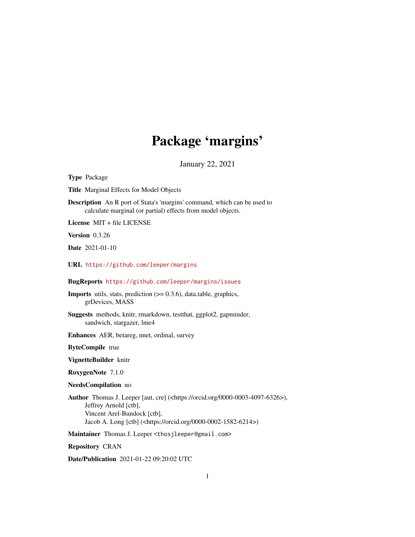# Package 'margins'

January 22, 2021

<span id="page-0-0"></span>Type Package

Title Marginal Effects for Model Objects

Description An R port of Stata's 'margins' command, which can be used to calculate marginal (or partial) effects from model objects.

License MIT + file LICENSE

Version 0.3.26

Date 2021-01-10

URL <https://github.com/leeper/margins>

BugReports <https://github.com/leeper/margins/issues>

**Imports** utils, stats, prediction  $(>= 0.3.6)$ , data.table, graphics, grDevices, MASS

Suggests methods, knitr, rmarkdown, testthat, ggplot2, gapminder, sandwich, stargazer, lme4

Enhances AER, betareg, nnet, ordinal, survey

ByteCompile true

VignetteBuilder knitr

RoxygenNote 7.1.0

NeedsCompilation no

Author Thomas J. Leeper [aut, cre] (<https://orcid.org/0000-0003-4097-6326>), Jeffrey Arnold [ctb], Vincent Arel-Bundock [ctb], Jacob A. Long [ctb] (<https://orcid.org/0000-0002-1582-6214>)

Maintainer Thomas J. Leeper <thosjleeper@gmail.com>

Repository CRAN

Date/Publication 2021-01-22 09:20:02 UTC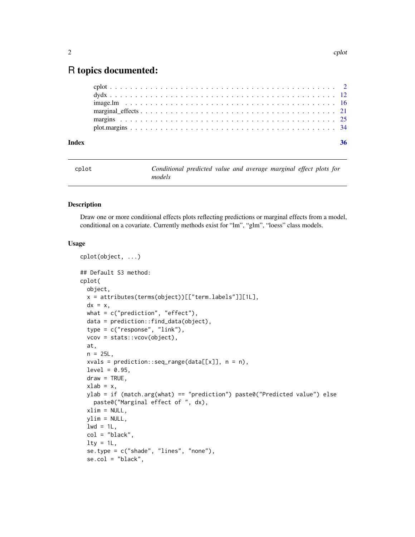# <span id="page-1-0"></span>R topics documented:

| Index |  |
|-------|--|
|       |  |
|       |  |
|       |  |
|       |  |
|       |  |
|       |  |

<span id="page-1-1"></span>

| cplot | Conditional predicted value and average marginal effect plots for |  |  |  |  |
|-------|-------------------------------------------------------------------|--|--|--|--|
|       | models                                                            |  |  |  |  |

#### Description

Draw one or more conditional effects plots reflecting predictions or marginal effects from a model, conditional on a covariate. Currently methods exist for "lm", "glm", "loess" class models.

#### Usage

```
cplot(object, ...)
## Default S3 method:
cplot(
 object,
 x = attributes(terms(object))[["term.labels"]][1L],
 dx = x,
 what = c("prediction", "effect"),
 data = prediction::find_data(object),
  type = c("response", "link"),
  vcov = stats::vcov(object),
  at,
 n = 25L,
 xvals = prediction::seq_range(data[[x]], n = n),level = 0.95,
 draw = TRUE,xlab = x,
 ylab = if (match.arg(what) == "prediction") paste0("Predicted value") else
    paste0("Marginal effect of ", dx),
 xlim = NULL,vlim = NULL,
 1wd = 1L,
  col = "black",lty = 1L,se.type = c("shade", "lines", "none"),
  se.col = "black",
```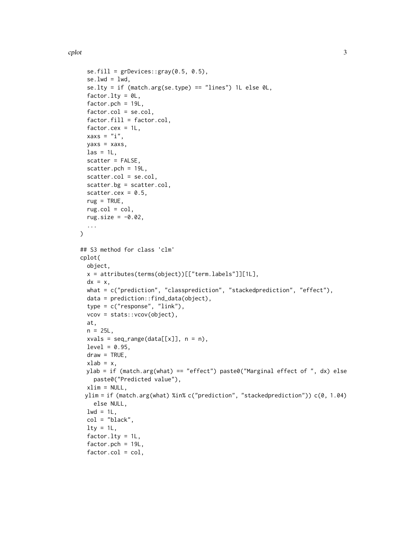```
se. fill = grDevices::gray(0.5, 0.5),se.lwd = lwd,
  se.lty = if (match.arg(se.type) == "lines") 1L else \emptyset L,
  factor.lty = \thetaL,
  factor.pch = 19L,factor.col = se.col,factor.fill = factor.col,
  factor.cex = 1L,
  xaxs = "i",yaxs = xaxs,
  \text{las} = 1L,scatter = FALSE,
  scatter.pch = 19L,
  scatter.col = se.col,
  scatter.bg = scatter.col,
  scatter.cex = 0.5,
  rug = TRUE,rug.col = col,rug.size = -0.02,
  ...
\mathcal{L}## S3 method for class 'clm'
cplot(
 object,
  x = attributes(terms(object))[["term.labels"]][1L],
  dx = x,
 what = c("prediction", "classprediction", "stackedprediction", "effect"),
  data = prediction::find_data(object),
  type = c("response", "link"),
  vcov = stats::vcov(object),
  at,
  n = 25L,
  xvals = seq_range(data[[x]], n = n),level = 0.95,
  draw = TRUE,
  xlab = x,
 ylab = if (match.arg(what) == "effect") paste0("Marginal effect of ", dx) else
    paste0("Predicted value"),
  xlim = NULL,ylim = if (match.arg(what) %in% c("prediction", "stackedprediction")) c(0, 1.04)
    else NULL,
  1wd = 1L,
  col = "black",lty = 1L,factor.lty = 1L,
  factor.pch = 19L,
  factor.col = col,
```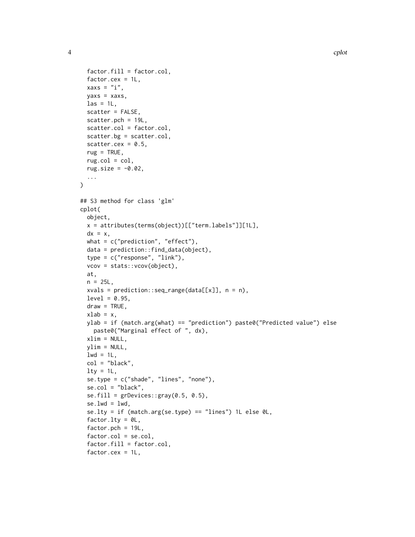```
factor.fill = factor.col,
  factor.cex = 1L,
  xaxs = "i".
  yaxs = xaxs,
  \text{las} = 1L,scatter = FALSE,
  scatter.pch = 19L,
  scatter.col = factor.col,
  scatter.bg = scatter.col,
  scatter.cex = 0.5,
  rug = TRUE,rug.col = col,rug.size = -0.02,
  ...
\mathcal{L}## S3 method for class 'glm'
cplot(
 object,
  x = attributes(terms(object))[["term.labels"]][1L],
  dx = x,
  what = c("prediction", "effect"),data = prediction::find_data(object),
  type = c("response", "link"),
  vcov = stats::vcov(object),
  at,
  n = 25L,
  xvals = prediction::seq_range(data[[x]], n = n),
  level = 0.95,draw = TRUE,
  xlab = x,
 ylab = if (match.arg(what) == "prediction") paste0("Predicted value") else
    paste0("Marginal effect of ", dx),
 xlim = NULL,
  ylim = NULL,
  1wd = 1L,
  col = "black".lty = 1L,se.type = c("shade", "lines", "none"),
  se.col = "black",
  se.fill = grDevices::gray(0.5, 0.5),se.lwd = lwd,se.lty = if (match.arg(se.type) == "lines") 1L else 0L,
  factor.lty = \theta L,
  factor.pch = 19L,factor.col = se.col,
  factor.fill = factor.col,
  factor.cex = 1L,
```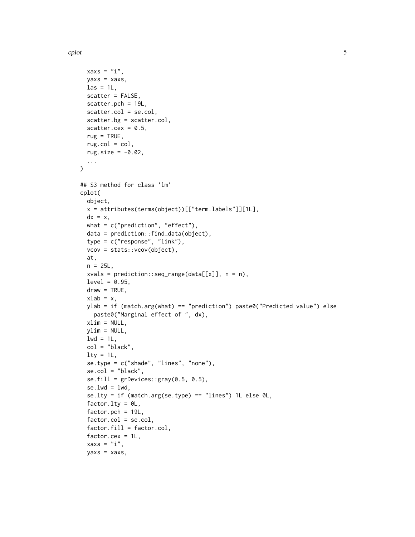$\mathcal{L}$ 

```
xaxs = "i",yaxs = xaxs,
  \text{las} = 1\text{L},
  scatter = FALSE,
  scatter.pch = 19L,
  scatter.col = se.col,
  scatter.bg = scatter.col,
  scatter.cex = 0.5,
  rug = TRUE,rug.col = col,rug.size = -0.02,
  ...
## S3 method for class 'lm'
cplot(
 object,
  x = attributes(terms(object))[["term.labels"]][1L],
  dx = x,
  what = c("prediction", "effect"),data = prediction::find_data(object),
  type = c("response", "link"),
  vcov = stats::vcov(object),
  at,
  n = 25L,
  xvals = prediction::seq_range(data[[x]], n = n),level = 0.95,draw = TRUE,xlab = x,
  ylab = if (match.arg(what) == "prediction") paste0("Predicted value") else
    paste0("Marginal effect of ", dx),
  xlim = NULL,ylim = NULL,
  1wd = 1L,
  col = "black",lty = 1L,se.type = c("shade", "lines", "none"),
  se.col = "black",
  se. fill = grDevices::gray(0.5, 0.5),se.lwd = lwd,se.lty = if (match.arg(se.type) == "lines") 1L else 0L,
  factor.lty = OL,
  factor.pch = 19L,factor.col = se.col,factor.fill = factor.col,
  factor.cex = 1L,
  xaxs = "i",
```

```
yaxs = xaxs,
```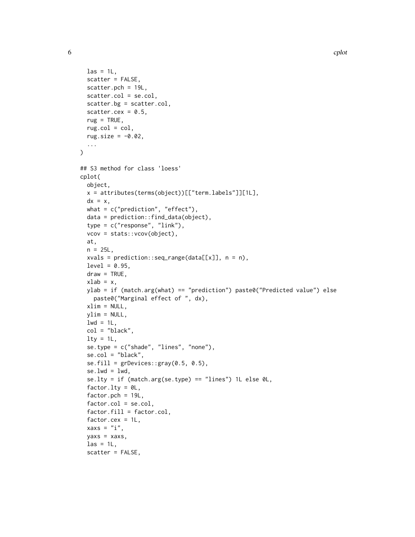```
\text{las} = 1L,
  scatter = FALSE,
  scatter.pch = 19L,
  scatter.col = se.col,
  scatter.bg = scatter.col,
  scatter.cex = 0.5,
  rug = TRUE,rug.col = col,rug.size = -0.02,
  ...
)
## S3 method for class 'loess'
cplot(
 object,
  x = attributes(terms(object))[["term.labels"]][1L],
  dx = x,
  what = c("prediction", "effect"),data = prediction::find_data(object),
  type = c("response", "link"),
  vcov = stats::vcov(object),
  at,
  n = 25L,
  xvals = prediction::seq_range(data[[x]], n = n),level = 0.95,
  draw = TRUE,xlab = x,
  ylab = if (match.arg(what) == "prediction") paste0("Predicted value") else
    paste0("Marginal effect of ", dx),
 xlim = NULL,ylim = NULL,
  1wd = 1L,
  col = "black",lty = 1L,se.type = c("shade", "lines", "none"),
  se.col = "black",
  se.fill = grDevices::gray(0.5, 0.5),se.lwd = lwd,se.lty = if (match.arg(se.type) == "lines") 1L else 0L,
  factor.lty = OL,
  factor.pch = 19L,factor.col = se.col,
  factor.fill = factor.col,factor.cex = 1L,
  xaxs = "i",yaxs = xaxs,
  \text{las} = 1\text{L},
  scatter = FALSE,
```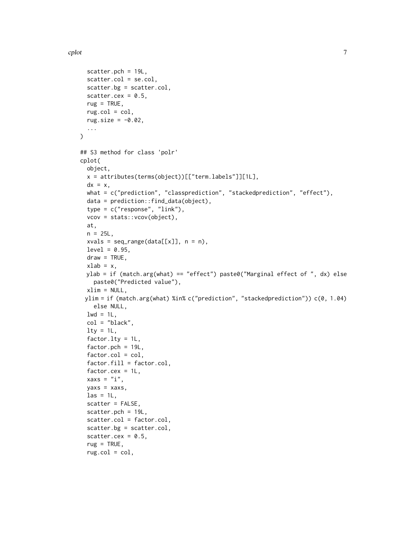```
scatter.pch = 19L,
  scatter.col = se.col,
  scatter.bg = scatter.col,
  scatter.cex = 0.5,
  rug = TRUE,
  rug.col = col,rug.size = -0.02,
  ...
\mathcal{L}## S3 method for class 'polr'
cplot(
 object,
 x = attributes(terms(object))[["term.labels"]][1L],
 dx = x,
 what = c("prediction", "classprediction", "stackedprediction", "effect"),
 data = prediction::find_data(object),
  type = c("response", "link"),
 vcov = stats::vcov(object),
 at,
 n = 25L,
 xvals = seq_range(data[[x]], n = n),level = 0.95,draw = TRUE,xlab = x,
 ylab = if (match.arg(what) == "effect") paste0("Marginal effect of ", dx) else
    paste0("Predicted value"),
 xlim = NULL,
 ylim = if (match.arg(what) %in% c("prediction", "stackedprediction")) c(0, 1.04)
   else NULL,
  1wd = 1L,
 col = "black",
  lty = 1L,factor.lty = 1L,
  factor.pch = 19L,
  factor.col = col,
  factor.fill = factor.col,factor.cex = 1L,
  xaxs = "i",yaxs = xaxs,
  \text{las} = 1\text{L},
  scatter = FALSE,
  scatter.pch = 19L,
  scatter.col = factor.col,
  scatter.bg = scatter.col,
  scatter.cex = 0.5,
  rug = TRUE,
```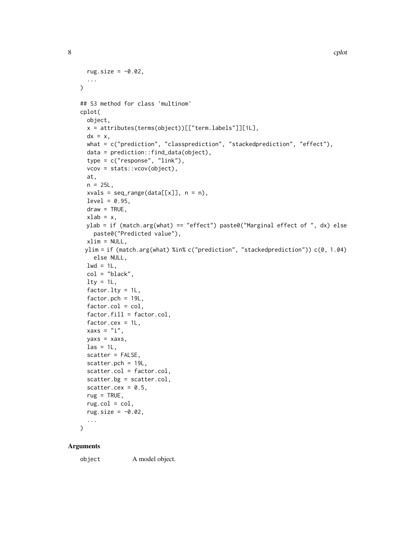```
rug.size = -0.02,
  ...
\sum_{i=1}^{n}## S3 method for class 'multinom'
cplot(
 object,
  x = attributes(terms(object))[["term.labels"]][1L],
  dx = x,
 what = c("prediction", "classprediction", "stackedprediction", "effect"),
  data = prediction::find_data(object),
  type = c("response", "link"),
  vcov = stats::vcov(object),
  at,
  n = 25L,
  xvals = seq_range(data[[x]], n = n),level = 0.95,draw = TRUE,
 xlab = x,
 ylab = if (match.arg(what) == "effect") paste0("Marginal effect of ", dx) else
    paste0("Predicted value"),
  xlim = NULL,ylim = if (match.arg(what) %in% c("prediction", "stackedprediction")) c(0, 1.04)
    else NULL,
  1wd = 1L,
  col = "black",lty = 1L,factor.lty = 1L,
  factor.pch = 19L,factor.col = col,factor.fill = factor.col,factor.cex = 1L,
  xaxs = "i",yaxs = xaxs,
  \text{las} = 1L,
  scatter = FALSE,
  scatter.pch = 19L,
  scatter.col = factor.col,
  scatter.bg = scatter.col,
  scatter.cex = 0.5,
  rug = TRUE,rug.col = col,rug.size = -0.02,
  ...
\mathcal{L}
```
#### Arguments

object A model object.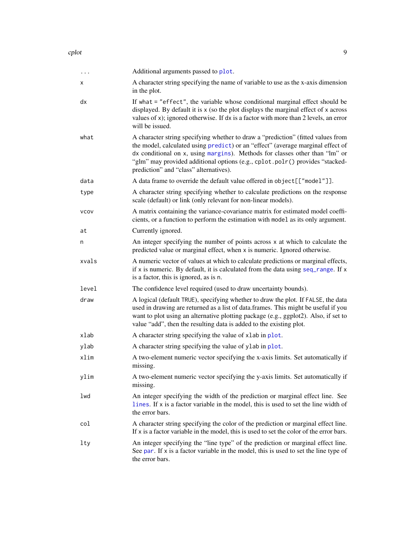<span id="page-8-0"></span>

| $\cdots$    | Additional arguments passed to plot.                                                                                                                                                                                                                                                                                                                                         |
|-------------|------------------------------------------------------------------------------------------------------------------------------------------------------------------------------------------------------------------------------------------------------------------------------------------------------------------------------------------------------------------------------|
| х           | A character string specifying the name of variable to use as the x-axis dimension<br>in the plot.                                                                                                                                                                                                                                                                            |
| dx          | If what = "effect", the variable whose conditional marginal effect should be<br>displayed. By default it is x (so the plot displays the marginal effect of x across<br>values of $x$ ); ignored otherwise. If $dx$ is a factor with more than 2 levels, an error<br>will be issued.                                                                                          |
| what        | A character string specifying whether to draw a "prediction" (fitted values from<br>the model, calculated using predict) or an "effect" (average marginal effect of<br>dx conditional on x, using margins). Methods for classes other than "lm" or<br>"glm" may provided additional options (e.g., cplot.polr() provides "stacked-<br>prediction" and "class" alternatives). |
| data        | A data frame to override the default value offered in object[["model"]].                                                                                                                                                                                                                                                                                                     |
| type        | A character string specifying whether to calculate predictions on the response<br>scale (default) or link (only relevant for non-linear models).                                                                                                                                                                                                                             |
| <b>VCOV</b> | A matrix containing the variance-covariance matrix for estimated model coeffi-<br>cients, or a function to perform the estimation with model as its only argument.                                                                                                                                                                                                           |
| at          | Currently ignored.                                                                                                                                                                                                                                                                                                                                                           |
| n           | An integer specifying the number of points across x at which to calculate the<br>predicted value or marginal effect, when x is numeric. Ignored otherwise.                                                                                                                                                                                                                   |
| xvals       | A numeric vector of values at which to calculate predictions or marginal effects,<br>if $x$ is numeric. By default, it is calculated from the data using seq_range. If $x$<br>is a factor, this is ignored, as is n.                                                                                                                                                         |
| level       | The confidence level required (used to draw uncertainty bounds).                                                                                                                                                                                                                                                                                                             |
| draw        | A logical (default TRUE), specifying whether to draw the plot. If FALSE, the data<br>used in drawing are returned as a list of data.frames. This might be useful if you<br>want to plot using an alternative plotting package (e.g., ggplot2). Also, if set to<br>value "add", then the resulting data is added to the existing plot.                                        |
| xlab        | A character string specifying the value of xlab in plot.                                                                                                                                                                                                                                                                                                                     |
| ylab        | A character string specifying the value of ylab in plot.                                                                                                                                                                                                                                                                                                                     |
| xlim        | A two-element numeric vector specifying the x-axis limits. Set automatically if<br>missing.                                                                                                                                                                                                                                                                                  |
| ylim        | A two-element numeric vector specifying the y-axis limits. Set automatically if<br>missing.                                                                                                                                                                                                                                                                                  |
| lwd         | An integer specifying the width of the prediction or marginal effect line. See<br>lines. If x is a factor variable in the model, this is used to set the line width of<br>the error bars.                                                                                                                                                                                    |
| col         | A character string specifying the color of the prediction or marginal effect line.<br>If $x$ is a factor variable in the model, this is used to set the color of the error bars.                                                                                                                                                                                             |
| lty         | An integer specifying the "line type" of the prediction or marginal effect line.<br>See par. If $x$ is a factor variable in the model, this is used to set the line type of<br>the error bars.                                                                                                                                                                               |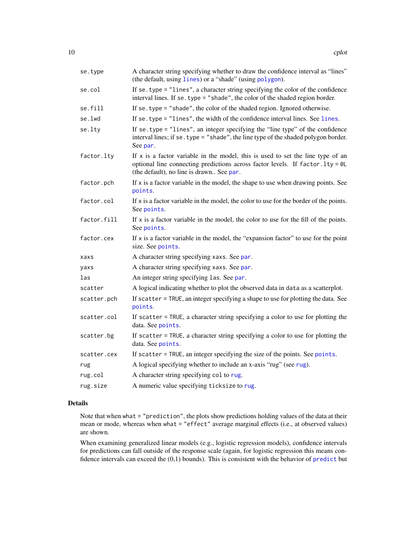<span id="page-9-0"></span>

| se.type     | A character string specifying whether to draw the confidence interval as "lines"<br>(the default, using lines) or a "shade" (using polygon).                                                                    |
|-------------|-----------------------------------------------------------------------------------------------------------------------------------------------------------------------------------------------------------------|
| se.col      | If se. type $=$ "lines", a character string specifying the color of the confidence<br>interval lines. If se. type = "shade", the color of the shaded region border.                                             |
| se.fill     | If se. type = "shade", the color of the shaded region. Ignored otherwise.                                                                                                                                       |
| se.lwd      | If se. type = "lines", the width of the confidence interval lines. See lines.                                                                                                                                   |
| se.lty      | If se. type = "lines", an integer specifying the "line type" of the confidence<br>interval lines; if se. type = "shade", the line type of the shaded polygon border.<br>See par.                                |
| factor.lty  | If $x$ is a factor variable in the model, this is used to set the line type of an<br>optional line connecting predictions across factor levels. If factor. lty = 0L<br>(the default), no line is drawn See par. |
| factor.pch  | If x is a factor variable in the model, the shape to use when drawing points. See<br>points.                                                                                                                    |
| factor.col  | If $x$ is a factor variable in the model, the color to use for the border of the points.<br>See points.                                                                                                         |
| factor.fill | If $x$ is a factor variable in the model, the color to use for the fill of the points.<br>See points.                                                                                                           |
| factor.cex  | If $x$ is a factor variable in the model, the "expansion factor" to use for the point<br>size. See points.                                                                                                      |
| xaxs        | A character string specifying xaxs. See par.                                                                                                                                                                    |
| yaxs        | A character string specifying xaxs. See par.                                                                                                                                                                    |
| las         | An integer string specifying las. See par.                                                                                                                                                                      |
| scatter     | A logical indicating whether to plot the observed data in data as a scatterplot.                                                                                                                                |
| scatter.pch | If scatter = TRUE, an integer specifying a shape to use for plotting the data. See<br>points.                                                                                                                   |
| scatter.col | If scatter = TRUE, a character string specifying a color to use for plotting the<br>data. See points.                                                                                                           |
| scatter.bg  | If scatter = TRUE, a character string specifying a color to use for plotting the<br>data. See points.                                                                                                           |
| scatter.cex | If scatter = TRUE, an integer specifying the size of the points. See points.                                                                                                                                    |
| rug         | A logical specifying whether to include an x-axis "rug" (see rug).                                                                                                                                              |
| rug.col     | A character string specifying col to rug.                                                                                                                                                                       |
| rug.size    | A numeric value specifying ticksize to rug.                                                                                                                                                                     |

# Details

Note that when what = "prediction", the plots show predictions holding values of the data at their mean or mode, whereas when what = "effect" average marginal effects (i.e., at observed values) are shown.

When examining generalized linear models (e.g., logistic regression models), confidence intervals for predictions can fall outside of the response scale (again, for logistic regression this means confidence intervals can exceed the (0,1) bounds). This is consistent with the behavior of [predict](#page-0-0) but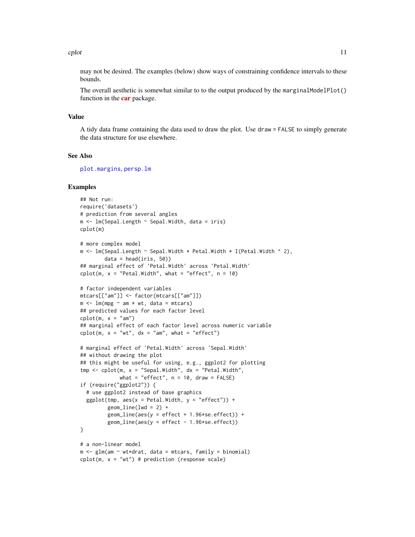#### <span id="page-10-0"></span>cplot the contract of the contract of the contract of the contract of the contract of the contract of the contract of the contract of the contract of the contract of the contract of the contract of the contract of the cont

may not be desired. The examples (below) show ways of constraining confidence intervals to these bounds.

The overall aesthetic is somewhat similar to to the output produced by the marginalModelPlot() function in the **[car](https://cran.r-project.org/package=car)** package.

#### Value

A tidy data frame containing the data used to draw the plot. Use draw = FALSE to simply generate the data structure for use elsewhere.

### See Also

[plot.margins](#page-33-1), [persp.lm](#page-15-1)

#### Examples

```
## Not run:
require('datasets')
# prediction from several angles
m <- lm(Sepal.Length ~ Sepal.Width, data = iris)
cplot(m)
# more complex model
m \leq 1m(Sepal.Length \sim Sepal.Width * Petal.Width * I(Petal.Width * 2),
        data = head(iris, 50)## marginal effect of 'Petal.Width' across 'Petal.Width'
cplot(m, x = "Petal.Width", what = "effect", n = 10)# factor independent variables
mtcars[["am"]] <- factor(mtcars[["am"]])
m \le - \ln(mpg \sim am \times wt, data = mtcars)## predicted values for each factor level
cplot(m, x = "am")## marginal effect of each factor level across numeric variable
cplot(m, x = "wt", dx = "am", what = "effect")# marginal effect of 'Petal.Width' across 'Sepal.Width'
## without drawing the plot
## this might be useful for using, e.g., ggplot2 for plotting
tmp \leq cplot(m, x = "Send.Midth", dx = "Petal.Width",what = "effect", n = 10, draw = FALSE)
if (require("ggplot2")) {
  # use ggplot2 instead of base graphics
  ggplot(tmp, aes(x = Petal.Width, y = "effect")) +
         geom\_line(lwd = 2) +
         geom\_line(aes(y = effect + 1.96*se.effect)) +
         geom\_line(aes(y = effect - 1.96*se.effect))
}
# a non-linear model
m \leq g \ln(\text{am} \leq \text{wt} \cdot \text{drat}, \text{data} = \text{mtcars}, \text{family} = \text{binomial})cplot(m, x = "wt") # prediction (response scale)
```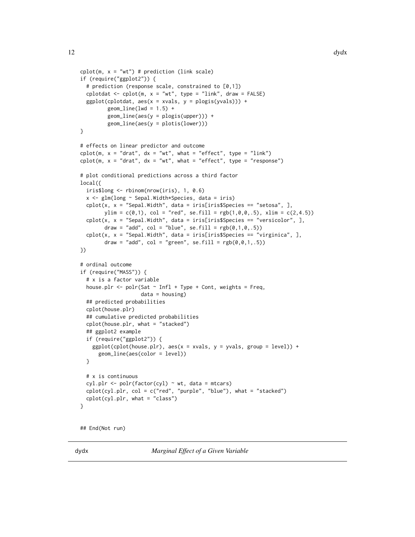```
cplot(m, x = "wt") # prediction (link scale)
if (require("ggplot2")) {
 # prediction (response scale, constrained to [0,1])
 cplotdat \leq cplot(m, x = "wt", type = "link", draw = FALSE)ggplot(cplotdat, aes(x = xvals, y = plogis(yvals))) +geom\_line(lwd = 1.5) +
        geom_line(aes(y = plogis(upper))) +
        geom_line(aes(y = plotis(lower)))
}
# effects on linear predictor and outcome
cplot(m, x = "drat", dx = "wt", what = "effect", type = "link")cplot(m, x = "drat", dx = "wt", what = "effect", type = "response")# plot conditional predictions across a third factor
local({
 iris$long <- rbinom(nrow(iris), 1, 0.6)
 x <- glm(long ~ Sepal.Width*Species, data = iris)
 cplot(x, x = "Sepal.Width", data = iris[iris$Species == "setosa", ],ylim = c(0,1), col = "red", sefill = rgb(1,0,0,.5), xlim = c(2,4.5))cplot(x, x = "Sepal.Width", data = iris[iris$Species == "versicolor", ],
       draw = "add", col = "blue", se.fill = rgb(0,1,0,.5))cplot(x, x = "Sepal.Width", data = iris[iris$Species == "virginica", ],
       draw = "add", col = "green", se.fill = rgb(0,0,1,.5))})
# ordinal outcome
if (require("MASS")) {
 # x is a factor variable
 house.plr <- polr(Sat \sim Infl + Type + Cont, weights = Freq,data = housing)## predicted probabilities
 cplot(house.plr)
 ## cumulative predicted probabilities
 cplot(house.plr, what = "stacked")
 ## ggplot2 example
 if (require("ggplot2")) {
    ggplot(cplot(house.plr), aes(x = xvals, y = yvals, group = level)) +geom_line(aes(color = level))
 }
 # x is continuous
 cyl.plr <- polr(factor(cyl) ~ wt, data = mtcars)
 cplot(cyl.plr, col = c("red", "purple", "blue"), what = "stacked")
 cplot(cyl.plr, what = "class")
}
```

```
## End(Not run)
```
<span id="page-11-1"></span>dydx *Marginal Effect of a Given Variable*

<span id="page-11-0"></span>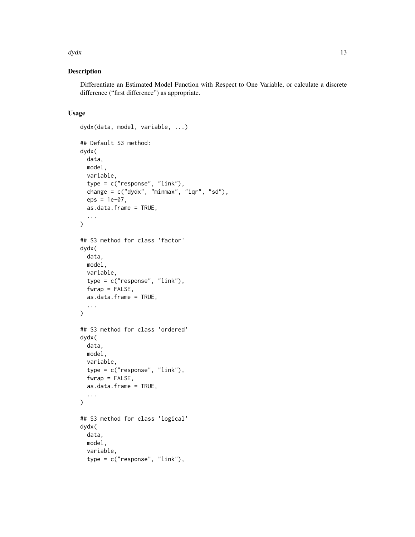#### $dydx$  13

# Description

Differentiate an Estimated Model Function with Respect to One Variable, or calculate a discrete difference ("first difference") as appropriate.

# Usage

```
dydx(data, model, variable, ...)
## Default S3 method:
dydx(
  data,
 model,
  variable,
  type = c("response", "link"),
  change = c("dydx", "minmax", "iqr", "sd"),
  eps = 1e-07,
  as.data.frame = TRUE,
  ...
\mathcal{L}## S3 method for class 'factor'
dydx(
 data,
 model,
  variable,
  type = c("response", "link"),
  fwrap = FALSE,as.data.frame = TRUE,
  ...
\mathcal{L}## S3 method for class 'ordered'
dydx(
 data,
 model,
 variable,
  type = c("response", "link"),
  fwrap = FALSE,as.data.frame = TRUE,
  ...
\mathcal{L}## S3 method for class 'logical'
dydx(
 data,
 model,
  variable,
  type = c("response", "link"),
```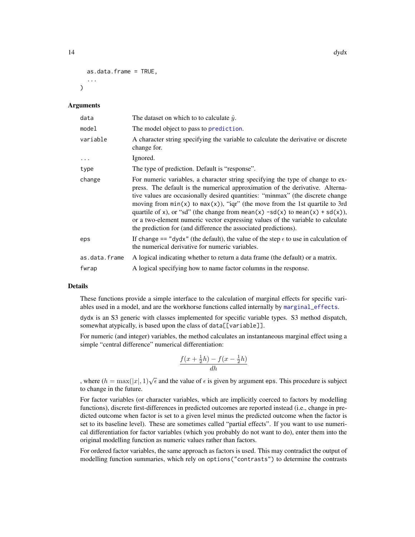```
as.data.frame = TRUE,
  ...
\lambda
```
#### Arguments

| data          | The dataset on which to to calculate $\hat{y}$ .                                                                                                                                                                                                                                                                                                                                                                                                                                                                                                                            |
|---------------|-----------------------------------------------------------------------------------------------------------------------------------------------------------------------------------------------------------------------------------------------------------------------------------------------------------------------------------------------------------------------------------------------------------------------------------------------------------------------------------------------------------------------------------------------------------------------------|
| model         | The model object to pass to prediction.                                                                                                                                                                                                                                                                                                                                                                                                                                                                                                                                     |
| variable      | A character string specifying the variable to calculate the derivative or discrete<br>change for.                                                                                                                                                                                                                                                                                                                                                                                                                                                                           |
|               | Ignored.                                                                                                                                                                                                                                                                                                                                                                                                                                                                                                                                                                    |
| type          | The type of prediction. Default is "response".                                                                                                                                                                                                                                                                                                                                                                                                                                                                                                                              |
| change        | For numeric variables, a character string specifying the type of change to ex-<br>press. The default is the numerical approximation of the derivative. Alterna-<br>tive values are occasionally desired quantities: "minmax" (the discrete change<br>moving from $min(x)$ to $max(x)$ , "iqr" (the move from the 1st quartile to 3rd<br>quartile of x), or "sd" (the change from mean(x) $-sd(x)$ to mean(x) + sd(x)),<br>or a two-element numeric vector expressing values of the variable to calculate<br>the prediction for (and difference the associated predictions). |
| eps           | If change == "dydx" (the default), the value of the step $\epsilon$ to use in calculation of<br>the numerical derivative for numeric variables.                                                                                                                                                                                                                                                                                                                                                                                                                             |
| as.data.frame | A logical indicating whether to return a data frame (the default) or a matrix.                                                                                                                                                                                                                                                                                                                                                                                                                                                                                              |
| fwrap         | A logical specifying how to name factor columns in the response.                                                                                                                                                                                                                                                                                                                                                                                                                                                                                                            |

#### Details

These functions provide a simple interface to the calculation of marginal effects for specific variables used in a model, and are the workhorse functions called internally by [marginal\\_effects](#page-20-1).

dydx is an S3 generic with classes implemented for specific variable types. S3 method dispatch, somewhat atypically, is based upon the class of data[[variable]].

For numeric (and integer) variables, the method calculates an instantaneous marginal effect using a simple "central difference" numerical differentiation:

$$
\frac{f(x+\frac{1}{2}h) - f(x-\frac{1}{2}h)}{dh}
$$

, where  $(h = \max(|x|, 1) \sqrt{\epsilon}$  and the value of  $\epsilon$  is given by argument eps. This procedure is subject to change in the future.

For factor variables (or character variables, which are implicitly coerced to factors by modelling functions), discrete first-differences in predicted outcomes are reported instead (i.e., change in predicted outcome when factor is set to a given level minus the predicted outcome when the factor is set to its baseline level). These are sometimes called "partial effects". If you want to use numerical differentiation for factor variables (which you probably do not want to do), enter them into the original modelling function as numeric values rather than factors.

For ordered factor variables, the same approach as factors is used. This may contradict the output of modelling function summaries, which rely on options("contrasts") to determine the contrasts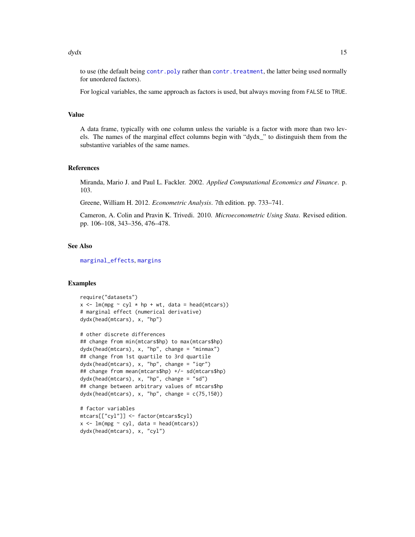#### <span id="page-14-0"></span> $dydx$  15

to use (the default being [contr.poly](#page-0-0) rather than [contr.treatment](#page-0-0), the latter being used normally for unordered factors).

For logical variables, the same approach as factors is used, but always moving from FALSE to TRUE.

#### Value

A data frame, typically with one column unless the variable is a factor with more than two levels. The names of the marginal effect columns begin with "dydx\_" to distinguish them from the substantive variables of the same names.

#### References

Miranda, Mario J. and Paul L. Fackler. 2002. *Applied Computational Economics and Finance*. p. 103.

Greene, William H. 2012. *Econometric Analysis*. 7th edition. pp. 733–741.

Cameron, A. Colin and Pravin K. Trivedi. 2010. *Microeconometric Using Stata*. Revised edition. pp. 106–108, 343–356, 476–478.

# See Also

[marginal\\_effects](#page-20-1), [margins](#page-24-1)

### Examples

```
require("datasets")
x \leq \text{Im}(\text{mpg} \sim \text{cyl} \cdot \text{hp} + \text{wt}, \text{data} = \text{head}(\text{mtcars}))# marginal effect (numerical derivative)
dydx(head(mtcars), x, "hp")
```

```
# other discrete differences
## change from min(mtcars$hp) to max(mtcars$hp)
dydx(head(mtcars), x, "hp", change = "minmax")## change from 1st quartile to 3rd quartile
dydx(head(mtcars), x, "hp", change = "iqr")
## change from mean(mtcars$hp) +/- sd(mtcars$hp)
dydx(head(mtcars), x, "hp", change = "sd")## change between arbitrary values of mtcars$hp
dydx(head(mtcars), x, "hp", change = c(75,150))
```

```
# factor variables
mtcars[["cyl"]] <- factor(mtcars$cyl)
x \leq Im(mpg \sim cy1, data = head(mtcars))dydx(head(mtcars), x, "cyl")
```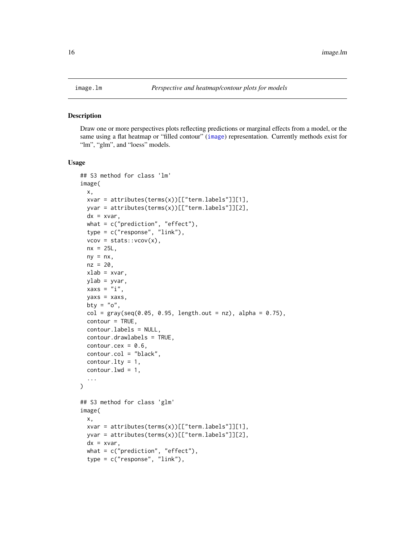<span id="page-15-0"></span>

#### <span id="page-15-1"></span>Description

Draw one or more perspectives plots reflecting predictions or marginal effects from a model, or the same using a flat heatmap or "filled contour" ([image](#page-0-0)) representation. Currently methods exist for "lm", "glm", and "loess" models.

#### Usage

```
## S3 method for class 'lm'
image(
 x,
  xvar = attributes(terms(x))[["term.labels"]][1],yvar = attributes(terms(x))[["term.labels"]][2],
  dx = xvar,what = c("prediction", "effect"),type = c("response", "link"),
  vcov = stats::vcov(x),nx = 25L,
 ny = nx,nz = 20,
 xlab = x \vee ar,
 vlab = vvar.
 xaxs = "i",yaxs = xaxs,
 bty = "o",col = gray(seq(0.05, 0.95, length.out = nz), alpha = 0.75),contour = TRUE,
  contour.labels = NULL,
  contour.drawlabels = TRUE,
  contour.cex = 0.6,
  contour.col = "black",
  contour.lty = 1,
  contour.lwd = 1,
  ...
)
## S3 method for class 'glm'
image(
 x,
 xvar = attributes(terms(x))[["termrback']][1],yvar = attributes(terms(x))[["term.labels"]][2],
 dx = xvar,
 what = c("prediction", "effect"),type = c("response", "link"),
```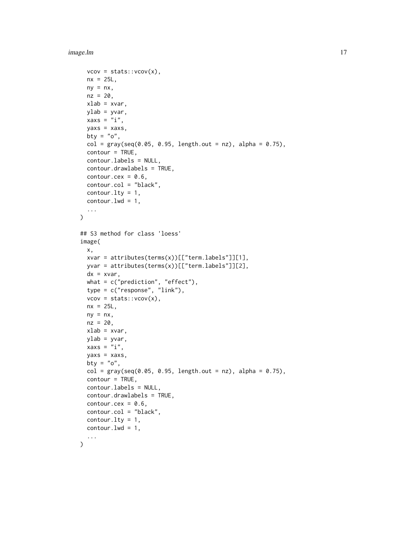image.lm 17

```
vcov = stats::vcov(x),
 nx = 25L,
 ny = nx,
 nz = 20,
  xlab = xvar,ylab = yvar,
  xaxs = "i",yaxs = xaxs,
 bty = "o",col = gray(seq(0.05, 0.95, length.out = nz), alpha = 0.75),contour = TRUE,
  contour.labels = NULL,
  contour.drawlabels = TRUE,
  contour.cex = 0.6,
  contour.col = "black",
  contour.lty = 1,
  contour.lwd = 1,
  ...
\lambda## S3 method for class 'loess'
image(
  x,
  xvar = attributes(terms(x))[["term.labels"]][1],
 yvar = attributes(terms(x))[["term.labels"]][2],
  dx = xvar,what = c("prediction", "effect"),type = c("response", "link"),
  vcov = stats::vcov(x),
 nx = 25L,
 ny = nx,nz = 20,
  xlab = xvar,
 ylab = yvar,
  xaxs = "i",yaxs = xaxs,
 bty = "o".
  col = gray(seq(0.05, 0.95, length.out = nz), alpha = 0.75),contour = TRUE,contour.labels = NULL,
  contour.drawlabels = TRUE,
  contour.cex = 0.6,
  contour.col = "black",
  contour.lty = 1,
  contour. lwd = 1,
  ...
)
```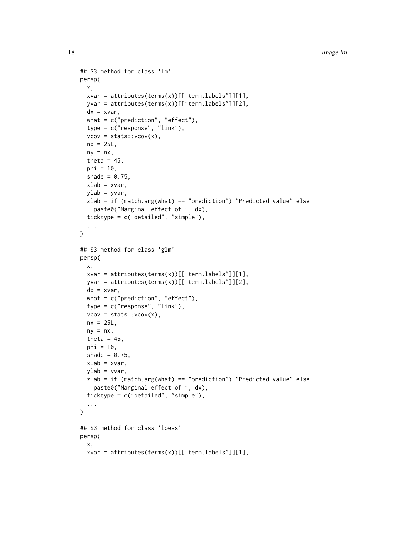```
## S3 method for class 'lm'
persp(
  x,
  xvar = attributes(terms(x))[["term.labels"]][1],yvar = attributes(terms(x))[["term.labels"]][2],
  dx = xvar,what = c("prediction", "effect"),type = c("response", "link"),
  vcov = stats::vcov(x),
  nx = 25L,
  ny = nx,theta = 45,
 phi = 10,
  shade = 0.75,
 xlab = xvar,
  ylab = yvar,
  zlab = if (match.arg(what) == "prediction") "Predicted value" else
    paste0("Marginal effect of ", dx),
  ticktype = c("detailed", "simple"),
  ...
\mathcal{L}## S3 method for class 'glm'
persp(
  x,
  xvar = attributes(terms(x))[["term.labels"]][1],yvar = attributes(terms(x))[["term.labels"]][2],
  dx = xvar,what = c("prediction", "effect"),type = c("response", "link"),
  vcov = stats::vcov(x),
 nx = 25L,
  ny = nx,
  theta = 45,
  phi = 10,
  shade = 0.75,
  xlab = x \vee ar.
  ylab = yvar,
  zlab = if (match.arg(what) == "prediction") "Predicted value" else
    paste0("Marginal effect of ", dx),
  ticktype = c("detailed", "simple"),
  ...
\lambda## S3 method for class 'loess'
persp(
 x,
  xvar = attributes(terms(x))[["term.labels"]][1],
```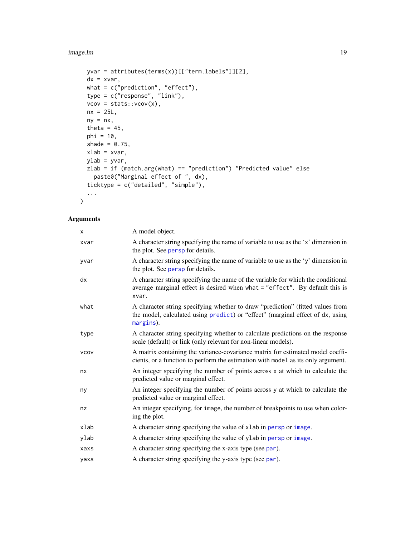<span id="page-18-0"></span>image.lm 19

```
yvar = attributes(terms(x))[["term.labels"]][2],
 dx = xvar,what = c("prediction", "effect"),type = c("response", "link"),
 vcov = stats::vcov(x),nx = 25L,ny = nx,theta = 45,
 phi = 10,
 shade = 0.75,
 xlab = xvar,ylab = yvar,
 zlab = if (match.arg(what) == "prediction") "Predicted value" else
  paste0("Marginal effect of ", dx),
 ticktype = c("detailed", "simple"),
  ...
\mathcal{L}
```
# Arguments

| X           | A model object.                                                                                                                                                               |
|-------------|-------------------------------------------------------------------------------------------------------------------------------------------------------------------------------|
| xvar        | A character string specifying the name of variable to use as the 'x' dimension in<br>the plot. See persp for details.                                                         |
| yvar        | A character string specifying the name of variable to use as the 'y' dimension in<br>the plot. See persp for details.                                                         |
| dx          | A character string specifying the name of the variable for which the conditional<br>average marginal effect is desired when what = "effect". By default this is<br>xvar.      |
| what        | A character string specifying whether to draw "prediction" (fitted values from<br>the model, calculated using predict) or "effect" (marginal effect of dx, using<br>margins). |
| type        | A character string specifying whether to calculate predictions on the response<br>scale (default) or link (only relevant for non-linear models).                              |
| <b>VCOV</b> | A matrix containing the variance-covariance matrix for estimated model coeffi-<br>cients, or a function to perform the estimation with model as its only argument.            |
| nx          | An integer specifying the number of points across x at which to calculate the<br>predicted value or marginal effect.                                                          |
| ny          | An integer specifying the number of points across y at which to calculate the<br>predicted value or marginal effect.                                                          |
| nz          | An integer specifying, for image, the number of breakpoints to use when color-<br>ing the plot.                                                                               |
| xlab        | A character string specifying the value of xlab in persp or image.                                                                                                            |
| ylab        | A character string specifying the value of ylab in persp or image.                                                                                                            |
| xaxs        | A character string specifying the x-axis type (see par).                                                                                                                      |
| yaxs        | A character string specifying the y-axis type (see par).                                                                                                                      |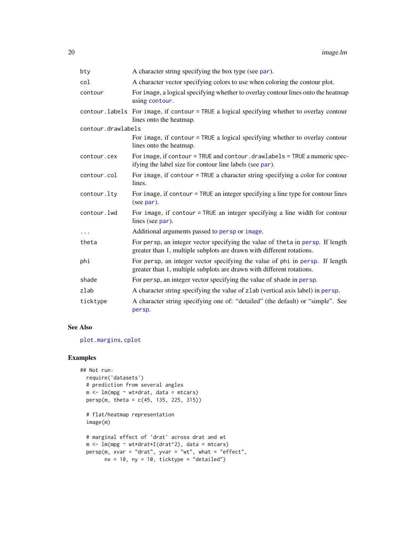<span id="page-19-0"></span>

| bty                | A character string specifying the box type (see par).                                                                                                   |
|--------------------|---------------------------------------------------------------------------------------------------------------------------------------------------------|
| col                | A character vector specifying colors to use when coloring the contour plot.                                                                             |
| contour            | For image, a logical specifying whether to overlay contour lines onto the heatmap<br>using contour.                                                     |
|                    | contour. labels For image, if contour = TRUE a logical specifying whether to overlay contour<br>lines onto the heatmap.                                 |
| contour.drawlabels |                                                                                                                                                         |
|                    | For image, if contour = TRUE a logical specifying whether to overlay contour<br>lines onto the heatmap.                                                 |
| contour.cex        | For image, if contour = TRUE and contour . drawlabels = TRUE a numeric spec-<br>if ying the label size for contour line labels (see par).               |
| contour.col        | For image, if contour = TRUE a character string specifying a color for contour<br>lines.                                                                |
| contour.lty        | For image, if contour $=$ TRUE an integer specifying a line type for contour lines<br>(see par).                                                        |
| contour.lwd        | For image, if contour = TRUE an integer specifying a line width for contour<br>lines (see par).                                                         |
| $\cdots$           | Additional arguments passed to persp or image.                                                                                                          |
| theta              | For persp, an integer vector specifying the value of theta in persp. If length<br>greater than 1, multiple subplots are drawn with different rotations. |
| phi                | For persp, an integer vector specifying the value of phi in persp. If length<br>greater than 1, multiple subplots are drawn with different rotations.   |
| shade              | For persp, an integer vector specifying the value of shade in persp.                                                                                    |
| zlab               | A character string specifying the value of zlab (vertical axis label) in persp.                                                                         |
| ticktype           | A character string specifying one of: "detailed" (the default) or "simple". See<br>persp.                                                               |

#### See Also

[plot.margins](#page-33-1), [cplot](#page-1-1)

# Examples

```
## Not run:
 require('datasets')
  # prediction from several angles
 m <- lm(mpg ~ wt*drat, data = mtcars)
 persp(m, theta = c(45, 135, 225, 315))
  # flat/heatmap representation
  image(m)
  # marginal effect of 'drat' across drat and wt
  m <- lm(mpg ~ wt*drat*I(drat^2), data = mtcars)
  persp(m, xvar = "drat", yvar = "wt", what = "effect",nx = 10, ny = 10, ticktype = "detailed")
```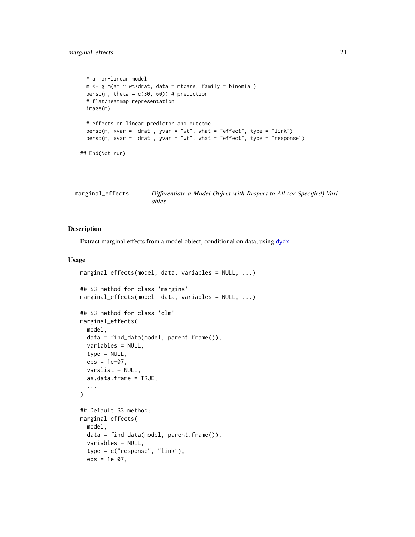```
# a non-linear model
 m <- glm(am ~ wt*drat, data = mtcars, family = binomial)
 persp(m, theta = c(30, 60)) # prediction
 # flat/heatmap representation
 image(m)
 # effects on linear predictor and outcome
 persp(m, xvar = "drat", yvar = "wt", what = "effect", type = "link")person(m, xvar = "drat", yvar = "wt", what = "effect", type = "response")## End(Not run)
```
<span id="page-20-1"></span>

| marginal_effects | Differentiate a Model Object with Respect to All (or Specified) Vari- |
|------------------|-----------------------------------------------------------------------|
|                  | ables                                                                 |

#### Description

Extract marginal effects from a model object, conditional on data, using [dydx](#page-11-1).

### Usage

```
marginal_effects(model, data, variables = NULL, ...)
## S3 method for class 'margins'
marginal_effects(model, data, variables = NULL, ...)
## S3 method for class 'clm'
marginal_effects(
 model,
 data = find_data(model, parent.frame()),
  variables = NULL,
  type = NULL,
  eps = 1e-07,
  varslist = NULL,
  as.data.frame = TRUE,
  ...
\mathcal{L}## Default S3 method:
marginal_effects(
 model,
  data = find_data(model, parent.frame()),
  variables = NULL,
  type = c("response", "link"),
  eps = 1e-07,
```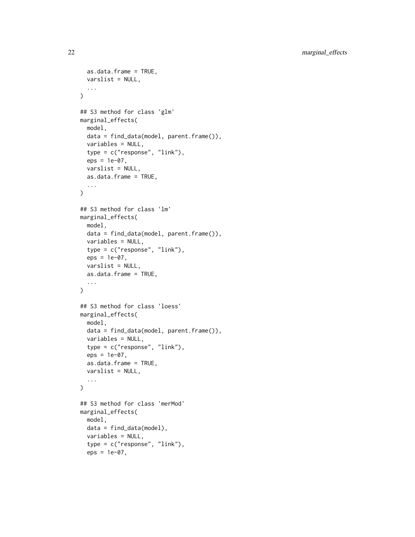```
as.data.frame = TRUE,
 varslist = NULL,
  ...
\lambda## S3 method for class 'glm'
marginal_effects(
 model,
 data = find_data(model, parent.frame()),
 variables = NULL,
  type = c("response", "link"),
  eps = 1e-07,
  varslist = NULL,
  as.data.frame = TRUE,
  ...
)
## S3 method for class 'lm'
marginal_effects(
 model,
 data = find_data(model, parent.frame()),
  variables = NULL,
  type = c("response", "link"),
  eps = 1e-07,
 varslist = NULL,
  as.data.frame = TRUE,
  ...
\mathcal{L}## S3 method for class 'loess'
marginal_effects(
 model,
  data = find_data(model, parent.frame()),
  variables = NULL,
  type = c("response", "link"),
  eps = 1e-07,
  as.data.frame = TRUE,
 varslist = NULL,
  ...
\mathcal{L}## S3 method for class 'merMod'
marginal_effects(
 model,
 data = find_data(model),
  variables = NULL,
  type = c("response", "link"),
  eps = 1e-07,
```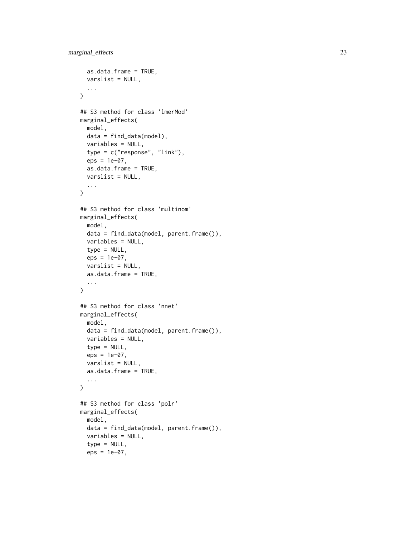```
as.data.frame = TRUE,
 varslist = NULL,
  ...
\mathcal{L}## S3 method for class 'lmerMod'
marginal_effects(
 model,
 data = find_data(model),
 variables = NULL,
  type = c("response", "link"),
  eps = 1e-07,
  as.data.frame = TRUE,
 varslist = NULL,
  ...
)
## S3 method for class 'multinom'
marginal_effects(
 model,
 data = find_data(model, parent.frame()),
 variables = NULL,
  type = NULL,
  eps = 1e-07,
 varslist = NULL,
  as.data.frame = TRUE,
  ...
\mathcal{L}## S3 method for class 'nnet'
marginal_effects(
 model,
  data = find_data(model, parent.frame()),
  variables = NULL,
  type = NULL,
  eps = 1e-07,
  varslist = NULL,
 as.data.frame = TRUE,
  ...
\mathcal{L}## S3 method for class 'polr'
marginal_effects(
 model,
  data = find_data(model, parent.frame()),
  variables = NULL,
  type = NULL,
  eps = 1e-07,
```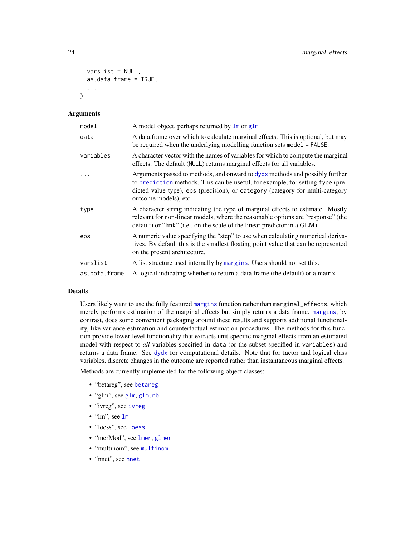```
varslist = NULL,
  as.data.frame = TRUE,
  ...
\lambda
```
# Arguments

| model         | A model object, perhaps returned by lm or glm                                                                                                                                                                                                                            |
|---------------|--------------------------------------------------------------------------------------------------------------------------------------------------------------------------------------------------------------------------------------------------------------------------|
| data          | A data frame over which to calculate marginal effects. This is optional, but may<br>be required when the underlying modelling function sets model = FALSE.                                                                                                               |
| variables     | A character vector with the names of variables for which to compute the marginal<br>effects. The default (NULL) returns marginal effects for all variables.                                                                                                              |
|               | Arguments passed to methods, and onward to dydx methods and possibly further<br>to prediction methods. This can be useful, for example, for setting type (pre-<br>dicted value type), eps (precision), or category (category for multi-category<br>outcome models), etc. |
| type          | A character string indicating the type of marginal effects to estimate. Mostly<br>relevant for non-linear models, where the reasonable options are "response" (the<br>default) or "link" (i.e., on the scale of the linear predictor in a GLM).                          |
| eps           | A numeric value specifying the "step" to use when calculating numerical deriva-<br>tives. By default this is the smallest floating point value that can be represented<br>on the present architecture.                                                                   |
| varslist      | A list structure used internally by margins. Users should not set this.                                                                                                                                                                                                  |
| as.data.frame | A logical indicating whether to return a data frame (the default) or a matrix.                                                                                                                                                                                           |

# Details

Users likely want to use the fully featured [margins](#page-24-1) function rather than marginal\_effects, which merely performs estimation of the marginal effects but simply returns a data frame. [margins](#page-24-1), by contrast, does some convenient packaging around these results and supports additional functionality, like variance estimation and counterfactual estimation procedures. The methods for this function provide lower-level functionality that extracts unit-specific marginal effects from an estimated model with respect to *all* variables specified in data (or the subset specified in variables) and returns a data frame. See [dydx](#page-11-1) for computational details. Note that for factor and logical class variables, discrete changes in the outcome are reported rather than instantaneous marginal effects.

Methods are currently implemented for the following object classes:

- "betareg", see [betareg](#page-0-0)
- "glm", see [glm](#page-0-0), [glm.nb](#page-0-0)
- "ivreg", see [ivreg](#page-0-0)
- "lm", see [lm](#page-0-0)
- "loess", see [loess](#page-0-0)
- "merMod", see [lmer](#page-0-0), [glmer](#page-0-0)
- "multinom", see [multinom](#page-0-0)
- "nnet", see [nnet](#page-0-0)

<span id="page-23-0"></span>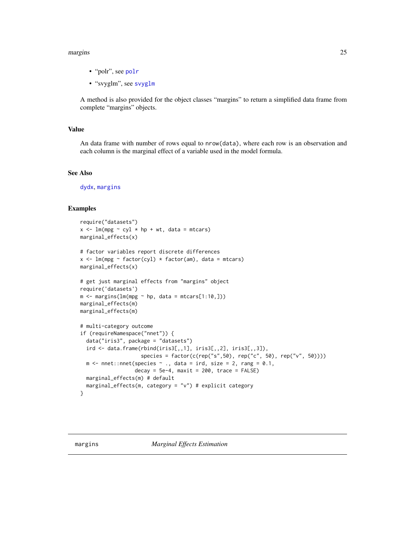#### <span id="page-24-0"></span>margins 25

- "polr", see [polr](#page-0-0)
- "svyglm", see [svyglm](#page-0-0)

A method is also provided for the object classes "margins" to return a simplified data frame from complete "margins" objects.

#### Value

An data frame with number of rows equal to nrow(data), where each row is an observation and each column is the marginal effect of a variable used in the model formula.

#### See Also

[dydx](#page-11-1), [margins](#page-24-1)

# Examples

```
require("datasets")
x \leq 1m(mpg ~ cyl * hp + wt, data = mtcars)
marginal_effects(x)
# factor variables report discrete differences
x \leq \text{Im}(\text{mpg} \sim \text{factor}(cyl) \times \text{factor}(am), \text{ data = mtcars})marginal_effects(x)
# get just marginal effects from "margins" object
require('datasets')
m \le - margins(lm(mpg \sim hp, data = mtcars[1:10,]))
marginal_effects(m)
marginal_effects(m)
# multi-category outcome
if (requireNamespace("nnet")) {
  data("iris3", package = "datasets")
  ird \leftarrow data.frame(rbind(iris3[,1], iris3[,2], iris3[,3]),species = factor(c(rep("s",50), rep("c", 50), rep("v", 50))))
  m \le - nnet::nnet(species \sim ., data = ird, size = 2, rang = 0.1,
                   decay = 5e-4, maxit = 200, trace = FALSE)
  marginal_effects(m) # default
  marginal_effects(m, category = "v") # explicit category
}
```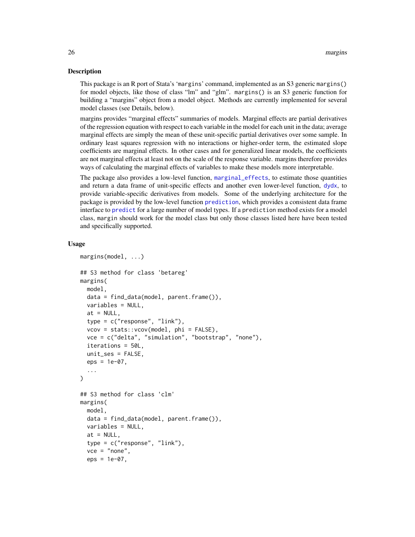#### <span id="page-25-0"></span>Description

This package is an R port of Stata's 'margins' command, implemented as an S3 generic margins() for model objects, like those of class "lm" and "glm". margins() is an S3 generic function for building a "margins" object from a model object. Methods are currently implemented for several model classes (see Details, below).

margins provides "marginal effects" summaries of models. Marginal effects are partial derivatives of the regression equation with respect to each variable in the model for each unit in the data; average marginal effects are simply the mean of these unit-specific partial derivatives over some sample. In ordinary least squares regression with no interactions or higher-order term, the estimated slope coefficients are marginal effects. In other cases and for generalized linear models, the coefficients are not marginal effects at least not on the scale of the response variable. margins therefore provides ways of calculating the marginal effects of variables to make these models more interpretable.

The package also provides a low-level function, [marginal\\_effects](#page-20-1), to estimate those quantities and return a data frame of unit-specific effects and another even lower-level function, [dydx](#page-11-1), to provide variable-specific derivatives from models. Some of the underlying architecture for the package is provided by the low-level function [prediction](#page-0-0), which provides a consistent data frame interface to [predict](#page-0-0) for a large number of model types. If a prediction method exists for a model class, margin should work for the model class but only those classes listed here have been tested and specifically supported.

#### Usage

```
margins(model, ...)
## S3 method for class 'betareg'
margins(
 model,
  data = find_data(model, parent.frame()),
  variables = NULL,
  at = NULL,type = c("response", "link"),
  vcov = stats::vcov(model, phi = FALSE),
  vce = c("delta", "simulation", "bootstrap", "none"),
  iterations = 50L,
  unit_ses = FALSE,
  eps = 1e-07,
  ...
)
## S3 method for class 'clm'
margins(
 model,
  data = find_data(model, parent.frame()),
  variables = NULL,
  at = NULL,type = c("response", "link"),
  vec = "none",eps = 1e-07,
```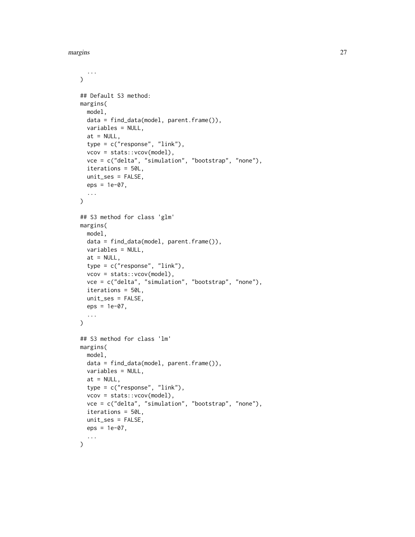margins 27

```
...
\lambda## Default S3 method:
margins(
  model,
  data = find_data(model, parent.frame()),
  variables = NULL,
  at = NULL,type = c("response", "link"),
  vcov = stats::vcov(model),
  vce = c("delta", "simulation", "bootstrap", "none"),
  iterations = 50L,
 unit_ses = FALSE,
 eps = 1e-07,
  ...
\mathcal{L}## S3 method for class 'glm'
margins(
 model,
 data = find_data(model, parent.frame()),
  variables = NULL,
  at = NULL,type = c("response", "link"),
  vcov = stats::vcov(model),
  vce = c("delta", "simulation", "bootstrap", "none"),
  iterations = 50L,
 unit_ses = FALSE,
 eps = 1e-07,
  ...
)
## S3 method for class 'lm'
margins(
 model,
 data = find_data(model, parent.frame()),
 variables = NULL,
  at = NULL,type = c("response", "link"),
  vcov = stats::vcov(model),
  vce = c("delta", "simulation", "bootstrap", "none"),
  iterations = 50L,
 unit_ses = FALSE,
 eps = 1e-07,
  ...
)
```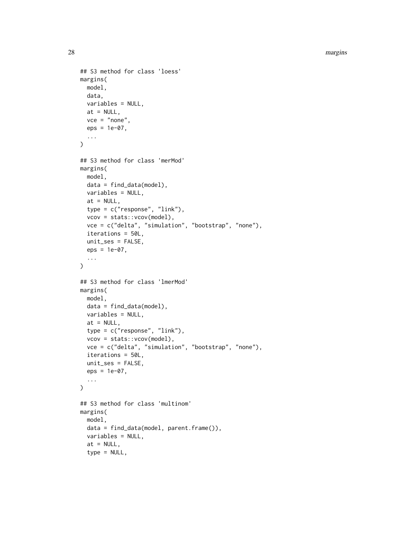28 margins and the contract of the contract of the contract of the contract of the contract of the contract of the contract of the contract of the contract of the contract of the contract of the contract of the contract of

```
## S3 method for class 'loess'
margins(
 model,
 data,
 variables = NULL,
 at = NULL,vec = "none",eps = 1e-07,
  ...
)
## S3 method for class 'merMod'
margins(
 model,
 data = find_data(model),
  variables = NULL,
 at = NULL,type = c("response", "link"),
  vcov = stats::vcov(model),
  vce = c("delta", "simulation", "bootstrap", "none"),
  iterations = 50L,
 unit_ses = FALSE,
  eps = 1e-07,
  ...
\lambda## S3 method for class 'lmerMod'
margins(
 model,
 data = find_data(model),
  variables = NULL,
 at = NULL,type = c("response", "link"),
  vcov = stats::vcov(model),
  vce = c("delta", "simulation", "bootstrap", "none"),
  iterations = 50L,
 unit_ses = FALSE,
 eps = 1e-07,
  ...
\mathcal{L}## S3 method for class 'multinom'
margins(
 model,
  data = find_data(model, parent.frame()),
  variables = NULL,
  at = NULL,type = NULL,
```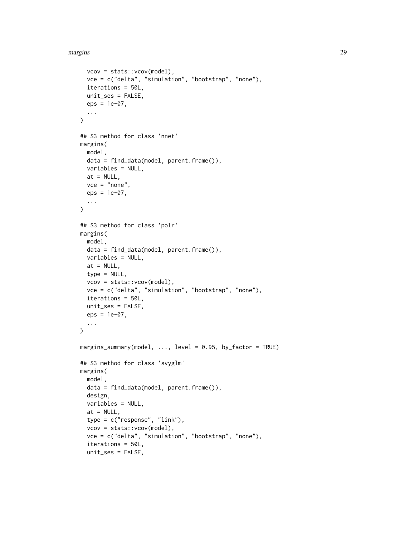```
vcov = stats::vcov(model),
  vce = c("delta", "simulation", "bootstrap", "none"),
  iterations = 50L,
 unit_ses = FALSE,
 eps = 1e-07,
  ...
)
## S3 method for class 'nnet'
margins(
 model,
 data = find_data(model, parent.frame()),
 variables = NULL,
 at = NULL,vec = "none",eps = 1e-07,
  ...
)
## S3 method for class 'polr'
margins(
 model,
 data = find_data(model, parent.frame()),
 variables = NULL,
 at = NULL,type = NULL,
  vcov = stats::vcov(model),
  vce = c("delta", "simulation", "bootstrap", "none"),
  iterations = 50L,
 unit_ses = FALSE,
 eps = 1e-07,
  ...
\mathcal{L}margins_summary(model, ..., level = 0.95, by_factor = TRUE)
## S3 method for class 'svyglm'
margins(
 model,
 data = find_data(model, parent.frame()),
  design,
 variables = NULL,
  at = NULL,type = c("response", "link"),
  vcov = stats::vcov(model),
  vce = c("delta", "simulation", "bootstrap", "none"),
  iterations = 50L,
  unit_ses = FALSE,
```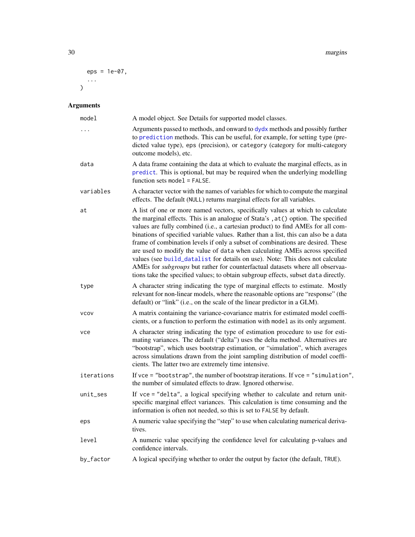```
30 margins
```

```
eps = 1e-07,
 ...
\big)
```
# Arguments

| model       | A model object. See Details for supported model classes.                                                                                                                                                                                                                                                                                                                                                                                                                                                                                                                                                                                                                                                                                                                |
|-------------|-------------------------------------------------------------------------------------------------------------------------------------------------------------------------------------------------------------------------------------------------------------------------------------------------------------------------------------------------------------------------------------------------------------------------------------------------------------------------------------------------------------------------------------------------------------------------------------------------------------------------------------------------------------------------------------------------------------------------------------------------------------------------|
| $\ddots$    | Arguments passed to methods, and onward to dydx methods and possibly further<br>to prediction methods. This can be useful, for example, for setting type (pre-<br>dicted value type), eps (precision), or category (category for multi-category<br>outcome models), etc.                                                                                                                                                                                                                                                                                                                                                                                                                                                                                                |
| data        | A data frame containing the data at which to evaluate the marginal effects, as in<br>predict. This is optional, but may be required when the underlying modelling<br>function sets model = $FALSE.$                                                                                                                                                                                                                                                                                                                                                                                                                                                                                                                                                                     |
| variables   | A character vector with the names of variables for which to compute the marginal<br>effects. The default (NULL) returns marginal effects for all variables.                                                                                                                                                                                                                                                                                                                                                                                                                                                                                                                                                                                                             |
| at          | A list of one or more named vectors, specifically values at which to calculate<br>the marginal effects. This is an analogue of Stata's, at () option. The specified<br>values are fully combined (i.e., a cartesian product) to find AMEs for all com-<br>binations of specified variable values. Rather than a list, this can also be a data<br>frame of combination levels if only a subset of combinations are desired. These<br>are used to modify the value of data when calculating AMEs across specified<br>values (see build_datalist for details on use). Note: This does not calculate<br>AMEs for subgroups but rather for counterfactual datasets where all observaa-<br>tions take the specified values; to obtain subgroup effects, subset data directly. |
| type        | A character string indicating the type of marginal effects to estimate. Mostly<br>relevant for non-linear models, where the reasonable options are "response" (the<br>default) or "link" (i.e., on the scale of the linear predictor in a GLM).                                                                                                                                                                                                                                                                                                                                                                                                                                                                                                                         |
| <b>VCOV</b> | A matrix containing the variance-covariance matrix for estimated model coeffi-<br>cients, or a function to perform the estimation with model as its only argument.                                                                                                                                                                                                                                                                                                                                                                                                                                                                                                                                                                                                      |
| vce         | A character string indicating the type of estimation procedure to use for esti-<br>mating variances. The default ("delta") uses the delta method. Alternatives are<br>"bootstrap", which uses bootstrap estimation, or "simulation", which averages<br>across simulations drawn from the joint sampling distribution of model coeffi-<br>cients. The latter two are extremely time intensive.                                                                                                                                                                                                                                                                                                                                                                           |
| iterations  | If $vec =$ "bootstrap", the number of bootstrap iterations. If $vec =$ "simulation",<br>the number of simulated effects to draw. Ignored otherwise.                                                                                                                                                                                                                                                                                                                                                                                                                                                                                                                                                                                                                     |
| unit_ses    | If vce = "delta", a logical specifying whether to calculate and return unit-<br>specific marginal effect variances. This calculation is time consuming and the<br>information is often not needed, so this is set to FALSE by default.                                                                                                                                                                                                                                                                                                                                                                                                                                                                                                                                  |
| eps         | A numeric value specifying the "step" to use when calculating numerical deriva-<br>tives.                                                                                                                                                                                                                                                                                                                                                                                                                                                                                                                                                                                                                                                                               |
| level       | A numeric value specifying the confidence level for calculating p-values and<br>confidence intervals.                                                                                                                                                                                                                                                                                                                                                                                                                                                                                                                                                                                                                                                                   |
| by_factor   | A logical specifying whether to order the output by factor (the default, TRUE).                                                                                                                                                                                                                                                                                                                                                                                                                                                                                                                                                                                                                                                                                         |

<span id="page-29-0"></span>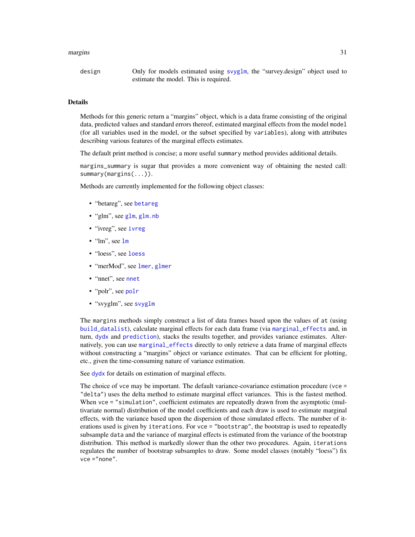#### <span id="page-30-0"></span>margins 31

| design | Only for models estimated using svyglm, the "survey.design" object used to |
|--------|----------------------------------------------------------------------------|
|        | estimate the model. This is required.                                      |

#### Details

Methods for this generic return a "margins" object, which is a data frame consisting of the original data, predicted values and standard errors thereof, estimated marginal effects from the model model (for all variables used in the model, or the subset specified by variables), along with attributes describing various features of the marginal effects estimates.

The default print method is concise; a more useful summary method provides additional details.

margins\_summary is sugar that provides a more convenient way of obtaining the nested call: summary(margins(...)).

Methods are currently implemented for the following object classes:

- "betareg", see [betareg](#page-0-0)
- "glm", see [glm](#page-0-0), [glm.nb](#page-0-0)
- "ivreg", see [ivreg](#page-0-0)
- "lm", see [lm](#page-0-0)
- "loess", see [loess](#page-0-0)
- "merMod", see [lmer](#page-0-0), [glmer](#page-0-0)
- "nnet", see [nnet](#page-0-0)
- "polr", see [polr](#page-0-0)
- "svyglm", see [svyglm](#page-0-0)

The margins methods simply construct a list of data frames based upon the values of at (using [build\\_datalist](#page-0-0)), calculate marginal effects for each data frame (via [marginal\\_effects](#page-20-1) and, in turn, [dydx](#page-11-1) and [prediction](#page-0-0)), stacks the results together, and provides variance estimates. Alternatively, you can use [marginal\\_effects](#page-20-1) directly to only retrieve a data frame of marginal effects without constructing a "margins" object or variance estimates. That can be efficient for plotting, etc., given the time-consuming nature of variance estimation.

See [dydx](#page-11-1) for details on estimation of marginal effects.

The choice of vce may be important. The default variance-covariance estimation procedure (vce = "delta") uses the delta method to estimate marginal effect variances. This is the fastest method. When vce = "simulation", coefficient estimates are repeatedly drawn from the asymptotic (multivariate normal) distribution of the model coefficients and each draw is used to estimate marginal effects, with the variance based upon the dispersion of those simulated effects. The number of iterations used is given by iterations. For vce = "bootstrap", the bootstrap is used to repeatedly subsample data and the variance of marginal effects is estimated from the variance of the bootstrap distribution. This method is markedly slower than the other two procedures. Again, iterations regulates the number of bootstrap subsamples to draw. Some model classes (notably "loess") fix vce ="none".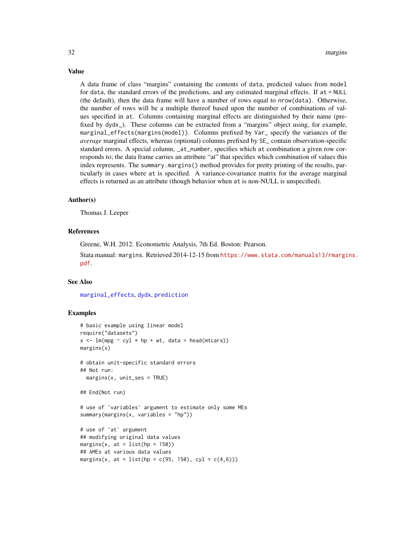A data frame of class "margins" containing the contents of data, predicted values from model for data, the standard errors of the predictions, and any estimated marginal effects. If at = NULL (the default), then the data frame will have a number of rows equal to nrow(data). Otherwise, the number of rows will be a multiple thereof based upon the number of combinations of values specified in at. Columns containing marginal effects are distinguished by their name (prefixed by dydx\_). These columns can be extracted from a "margins" object using, for example, marginal\_effects(margins(model)). Columns prefixed by Var\_ specify the variances of the *average* marginal effects, whereas (optional) columns prefixed by SE\_ contain observation-specific standard errors. A special column, \_at\_number, specifies which at combination a given row corresponds to; the data frame carries an attribute "at" that specifies which combination of values this index represents. The summary.margins() method provides for pretty printing of the results, particularly in cases where at is specified. A variance-covariance matrix for the average marginal effects is returned as an attribute (though behavior when at is non-NULL is unspecified).

#### Author(s)

Thomas J. Leeper

# References

Greene, W.H. 2012. Econometric Analysis, 7th Ed. Boston: Pearson.

Stata manual: margins. Retrieved 2014-12-15 from [https://www.stata.com/manuals13/rmargi](https://www.stata.com/manuals13/rmargins.pdf)ns. [pdf](https://www.stata.com/manuals13/rmargins.pdf).

#### See Also

[marginal\\_effects](#page-20-1), [dydx](#page-11-1), [prediction](#page-0-0)

#### Examples

```
# basic example using linear model
require("datasets")
x \le - \ln(mpg \sim cyl \times hp + wt, data = head(mtcars))margins(x)
# obtain unit-specific standard errors
## Not run:
 margins(x, unit\_ses = TRUE)## End(Not run)
# use of 'variables' argument to estimate only some MEs
summary(margins(x, variables = "hp"))
# use of 'at' argument
## modifying original data values
margins(x, at = list(hp = 150))## AMEs at various data values
margins(x, at = list(hp = c(95, 150), cyl = c(4,6)))
```
# <span id="page-31-0"></span>Value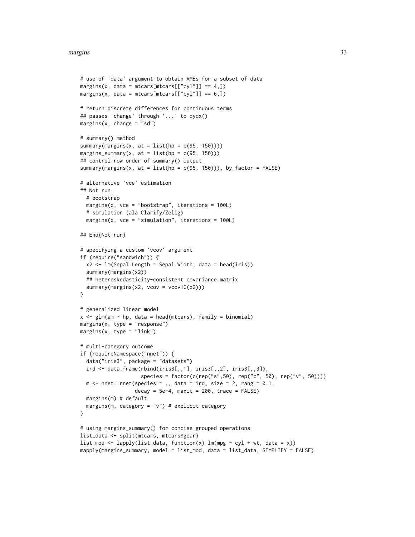#### margins 33

```
# use of 'data' argument to obtain AMEs for a subset of data
margins(x, data = mtcars[mtcars[["cyl"]] == 4,])
margins(x, data = mtcars[mtcars[['cy1'']] = 6, ])# return discrete differences for continuous terms
## passes 'change' through '...' to dydx()
margins(x, change = "sd")# summary() method
summary(margins(x, at = list(hp = c(95, 150))))margins_summary(x, at = list(hp = c(95, 150)))## control row order of summary() output
summary(margins(x, at = list(hp = c(95, 150))), by_factor = FALSE)
# alternative 'vce' estimation
## Not run:
  # bootstrap
  margins(x, vce = "bootstrap", iterations = 100L)
  # simulation (ala Clarify/Zelig)
  margins(x, vce = "simulation", iterations = 100L)## End(Not run)
# specifying a custom `vcov` argument
if (require("sandwich")) {
  x2 <- lm(Sepal.Length ~ Sepal.Width, data = head(iris))
  summary(margins(x2))
  ## heteroskedasticity-consistent covariance matrix
  summary(margins(x2, vcov = vcovHC(x2)))
}
# generalized linear model
x \leq -g \ln(\text{am} \leq \text{hp}, \text{data} = \text{head}(\text{mtcars}), \text{family} = \text{binomial})margins(x, type = "response")margins(x, type = "link")
# multi-category outcome
if (requireNamespace("nnet")) {
  data("iris3", package = "datasets")
  ird <- data.frame(rbind(iris3[,,1], iris3[,,2], iris3[,,3]),
                     species = factor(c(rep("s",50), rep("c", 50), rep("v", 50))))
  m <- nnet::nnet(species \sim ., data = ird, size = 2, rang = 0.1,
                   decay = 5e-4, maxit = 200, trace = FALSE)
  margins(m) # default
  margins(m, category = "v") # explicit category
}
# using margins_summary() for concise grouped operations
list_data <- split(mtcars, mtcars$gear)
list_model \leftarrow \text{lapply} (list_data, function(x) \text{lm} (mpg \sim cyl + wt, data = x))mapply(margins_summary, model = list_mod, data = list_data, SIMPLIFY = FALSE)
```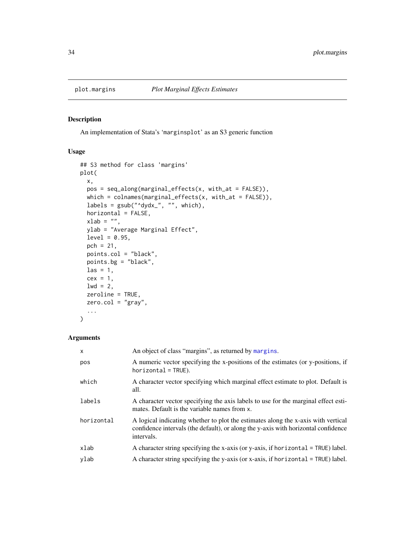<span id="page-33-1"></span><span id="page-33-0"></span>

# Description

An implementation of Stata's 'marginsplot' as an S3 generic function

### Usage

```
## S3 method for class 'margins'
plot(
  x,
 pos = seq_along(marginal_effects(x, with_at = FALSE)),
 which = colnames(marginal_effects(x, with_at = FALSE)),
  labels = gsub("^dydx_", "", which),
 horizontal = FALSE,
  xlab = ",
 ylab = "Average Marginal Effect",
  level = 0.95,pch = 21,
 points.col = "black",
 points.bg = "black",
 \text{las} = 1,
  cex = 1,
  1wd = 2,
 zeroline = TRUE,
 zero.co1 = "gray",...
)
```
#### Arguments

| $\mathsf{x}$ | An object of class "margins", as returned by margins.                                                                                                                                 |
|--------------|---------------------------------------------------------------------------------------------------------------------------------------------------------------------------------------|
| pos          | A numeric vector specifying the x-positions of the estimates (or y-positions, if<br>$horizontal = TRUE$ ).                                                                            |
| which        | A character vector specifying which marginal effect estimate to plot. Default is<br>all.                                                                                              |
| labels       | A character vector specifying the axis labels to use for the marginal effect esti-<br>mates. Default is the variable names from x.                                                    |
| horizontal   | A logical indicating whether to plot the estimates along the x-axis with vertical<br>confidence intervals (the default), or along the y-axis with horizontal confidence<br>intervals. |
| xlab         | A character string specifying the x-axis (or y-axis, if horizontal = $TRUE$ ) label.                                                                                                  |
| ylab         | A character string specifying the y-axis (or x-axis, if horizontal $=$ TRUE) label.                                                                                                   |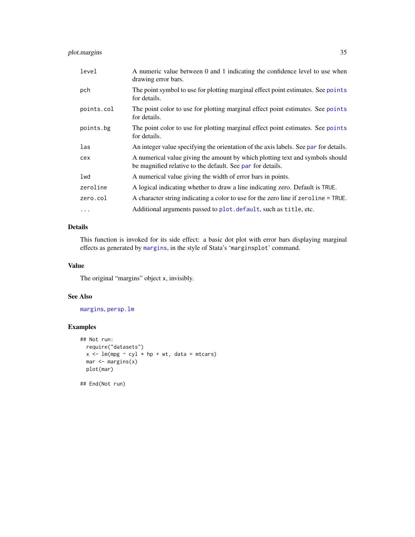# <span id="page-34-0"></span>plot.margins 35

| level      | A numeric value between 0 and 1 indicating the confidence level to use when<br>drawing error bars.                                          |
|------------|---------------------------------------------------------------------------------------------------------------------------------------------|
| pch        | The point symbol to use for plotting marginal effect point estimates. See points<br>for details.                                            |
| points.col | The point color to use for plotting marginal effect point estimates. See points<br>for details.                                             |
| points.bg  | The point color to use for plotting marginal effect point estimates. See points<br>for details.                                             |
| las        | An integer value specifying the orientation of the axis labels. See par for details.                                                        |
| cex        | A numerical value giving the amount by which plotting text and symbols should<br>be magnified relative to the default. See par for details. |
| lwd        | A numerical value giving the width of error bars in points.                                                                                 |
| zeroline   | A logical indicating whether to draw a line indicating zero. Default is TRUE.                                                               |
| zero.col   | A character string indicating a color to use for the zero line if zeroline = TRUE.                                                          |
| $\cdots$   | Additional arguments passed to plot. default, such as title, etc.                                                                           |

# Details

This function is invoked for its side effect: a basic dot plot with error bars displaying marginal effects as generated by [margins](#page-24-1), in the style of Stata's 'marginsplot' command.

# Value

The original "margins" object x, invisibly.

# See Also

[margins](#page-24-1), [persp.lm](#page-15-1)

# Examples

```
## Not run:
  require("datasets")
  x \leq 1m(mpg \sim cy1 \times hp + wt, data = mtcars)
  mar <- margins(x)
  plot(mar)
```
## End(Not run)